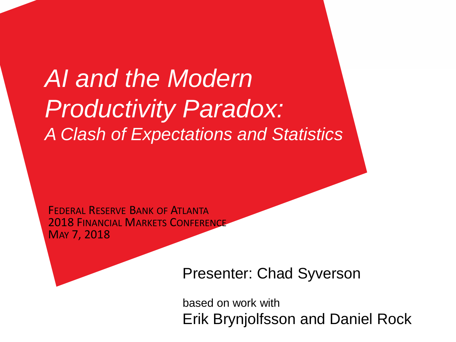## *AI and the Modern Productivity Paradox: A Clash of Expectations and Statistics*

FEDERAL RESERVE BANK OF ATLANTA **2018 FINANCIAL MARKETS CONFERENCE** MAY 7, 2018

Presenter: Chad Syverson

based on work with Erik Brynjolfsson and Daniel Rock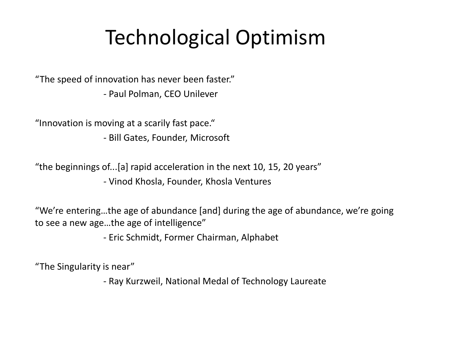## Technological Optimism

"The speed of innovation has never been faster." *-* Paul Polman, CEO Unilever

"Innovation is moving at a scarily fast pace."

*-* Bill Gates, Founder, Microsoft

"the beginnings of...[a] rapid acceleration in the next 10, 15, 20 years" *-* Vinod Khosla, Founder, Khosla Ventures

"We're entering…the age of abundance [and] during the age of abundance, we're going to see a new age…the age of intelligence"

- Eric Schmidt, Former Chairman, Alphabet

"The Singularity is near"

- Ray Kurzweil, National Medal of Technology Laureate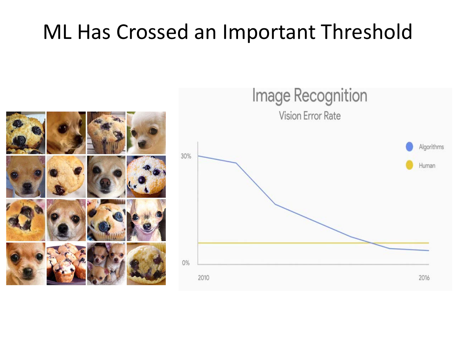## ML Has Crossed an Important Threshold



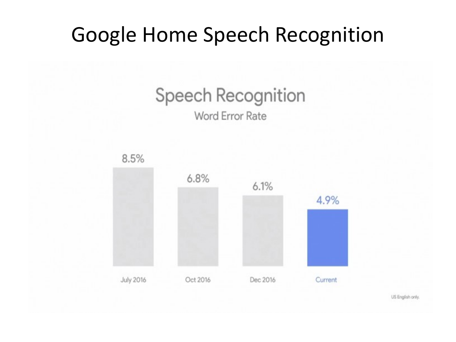### Google Home Speech Recognition

# **Speech Recognition**

#### **Word Error Rate**



US English only.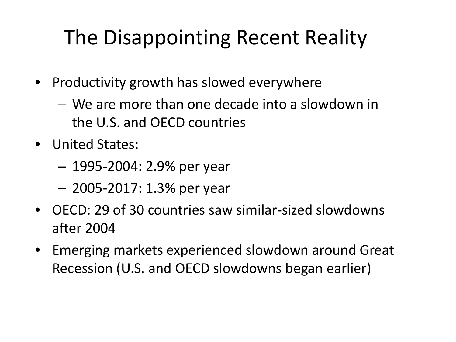## The Disappointing Recent Reality

- Productivity growth has slowed everywhere
	- We are more than one decade into a slowdown in the U.S. and OECD countries
- United States:
	- 1995-2004: 2.9% per year
	- 2005-2017: 1.3% per year
- OECD: 29 of 30 countries saw similar-sized slowdowns after 2004
- Emerging markets experienced slowdown around Great Recession (U.S. and OECD slowdowns began earlier)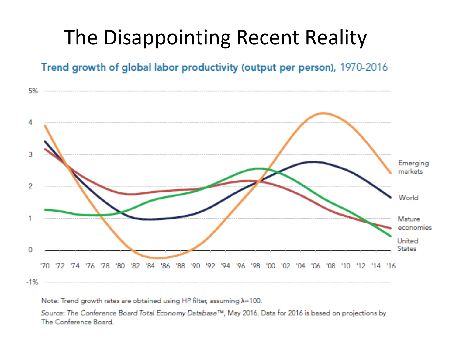## The Disappointing Recent Reality

Trend growth of global labor productivity (output per person), 1970-2016



Note: Trend growth rates are obtained using HP filter, assuming  $\lambda$ =100.

Source: The Conference Board Total Economy Database™, May 2016. Data for 2016 is based on projections by The Conference Board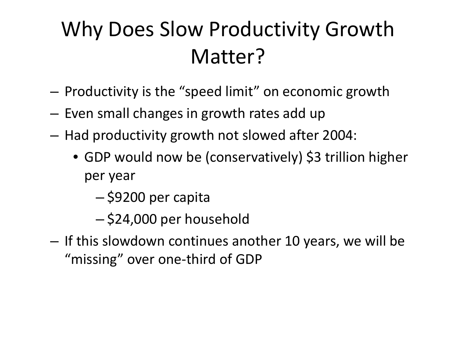## Why Does Slow Productivity Growth Matter?

- Productivity is the "speed limit" on economic growth
- Even small changes in growth rates add up
- Had productivity growth not slowed after 2004:
	- GDP would now be (conservatively) \$3 trillion higher per year
		- \$9200 per capita
		- \$24,000 per household
- If this slowdown continues another 10 years, we will be "missing" over one-third of GDP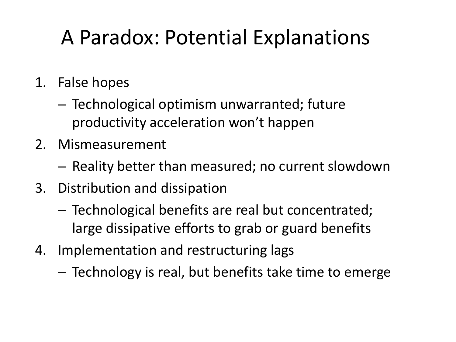## A Paradox: Potential Explanations

- 1. False hopes
	- Technological optimism unwarranted; future productivity acceleration won't happen
- 2. Mismeasurement
	- Reality better than measured; no current slowdown
- 3. Distribution and dissipation
	- Technological benefits are real but concentrated; large dissipative efforts to grab or guard benefits
- 4. Implementation and restructuring lags
	- Technology is real, but benefits take time to emerge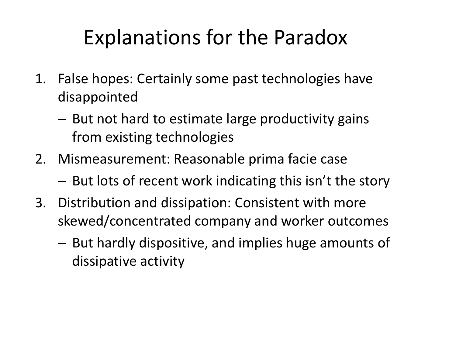## Explanations for the Paradox

- 1. False hopes: Certainly some past technologies have disappointed
	- But not hard to estimate large productivity gains from existing technologies
- 2. Mismeasurement: Reasonable prima facie case
	- But lots of recent work indicating this isn't the story
- 3. Distribution and dissipation: Consistent with more skewed/concentrated company and worker outcomes
	- But hardly dispositive, and implies huge amounts of dissipative activity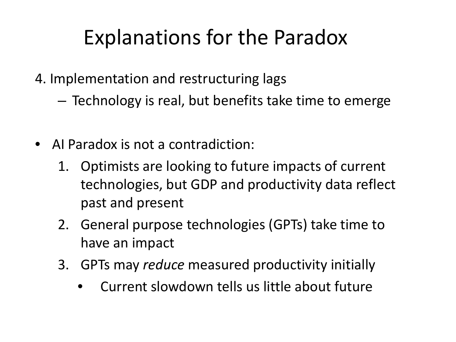## Explanations for the Paradox

- 4. Implementation and restructuring lags
	- Technology is real, but benefits take time to emerge
- AI Paradox is not a contradiction:
	- 1. Optimists are looking to future impacts of current technologies, but GDP and productivity data reflect past and present
	- 2. General purpose technologies (GPTs) take time to have an impact
	- 3. GPTs may *reduce* measured productivity initially
		- Current slowdown tells us little about future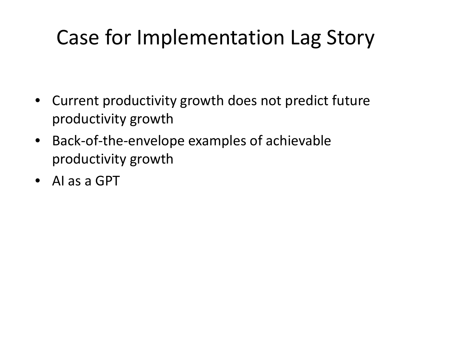## Case for Implementation Lag Story

- Current productivity growth does not predict future productivity growth
- Back-of-the-envelope examples of achievable productivity growth
- AI as a GPT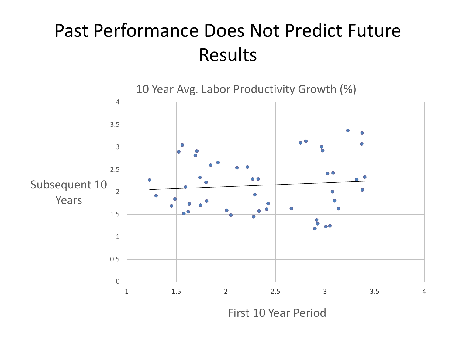#### Past Performance Does Not Predict Future Results

10 Year Avg. Labor Productivity Growth (%)



First 10 Year Period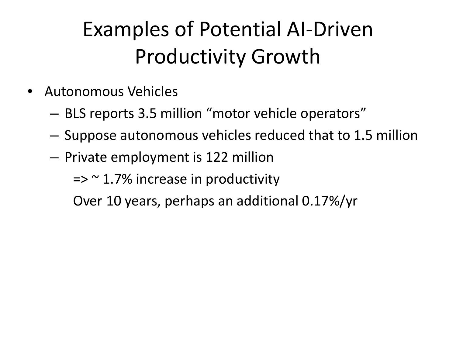## Examples of Potential AI-Driven Productivity Growth

- Autonomous Vehicles
	- BLS reports 3.5 million "motor vehicle operators"
	- Suppose autonomous vehicles reduced that to 1.5 million
	- Private employment is 122 million

 $\Rightarrow$   $\approx$  1.7% increase in productivity

Over 10 years, perhaps an additional 0.17%/yr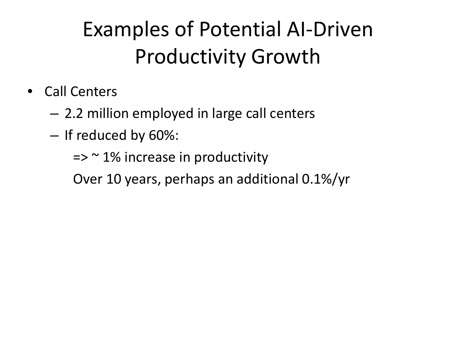## Examples of Potential AI-Driven Productivity Growth

- Call Centers
	- 2.2 million employed in large call centers
	- If reduced by 60%:
		- $\Rightarrow$   $\approx$  1% increase in productivity

Over 10 years, perhaps an additional 0.1%/yr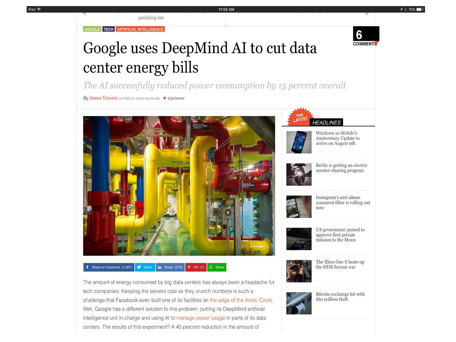GOOGLE TECH ARTIFICIAL INTELLIGENCE

gambling site

#### 6 **COMMENT**

#### Google uses DeepMind AI to cut data center energy bills

The AI successfully reduced power consumption by 15 percent overall

11:03 AM

By James Vincent on July 21, 2016 04:02 am  $\blacktriangleright$  @jjvincent



#### f Share on Facebook (1,307) **J** Tweet in Share (370) **P** Pin (7) **Share**

The amount of energy consumed by big data centers has always been a headache for tech companies. Keeping the servers cool as they crunch numbers is such a challenge that Facebook even built one of its facilities on the edge of the Arctic Circle. Well, Google has a different solution to this problem: putting its DeepMind artificial intelligence unit in charge and using AI to manage power usage in parts of its data centers. The results of this experiment? A 40 percent reduction in the amount of





Windows 10 Mobile's Anniversary Update to arrive on August 9th



Berlin is getting an electric scooter-sharing program



Instagram's anti-abuse comment filter is rolling out now



US government poised to approve first private mission to the Moon



The Xbox One S heats up the HDR format war



Bitcoin exchange hit with \$61 million theft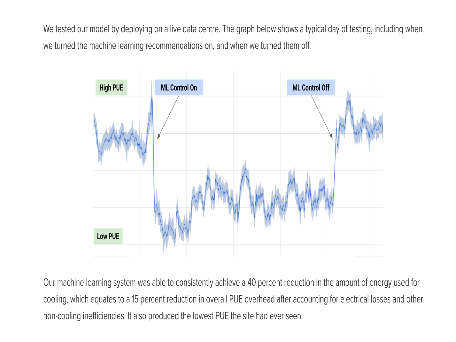We tested our model by deploying on a live data centre. The graph below shows a typical day of testing, including when we turned the machine learning recommendations on, and when we turned them off.



Our machine learning system was able to consistently achieve a 40 percent reduction in the amount of energy used for cooling, which equates to a 15 percent reduction in overall PUE overhead after accounting for electrical losses and other non-cooling inefficiencies. It also produced the lowest PUE the site had ever seen.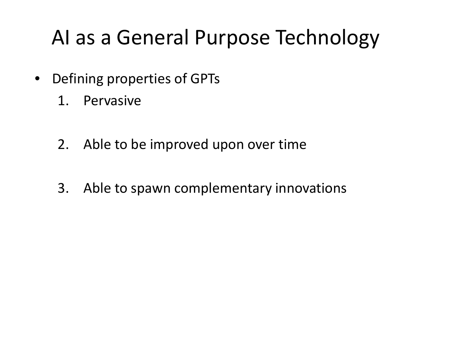## AI as a General Purpose Technology

- Defining properties of GPTs
	- 1. Pervasive
	- 2. Able to be improved upon over time
	- 3. Able to spawn complementary innovations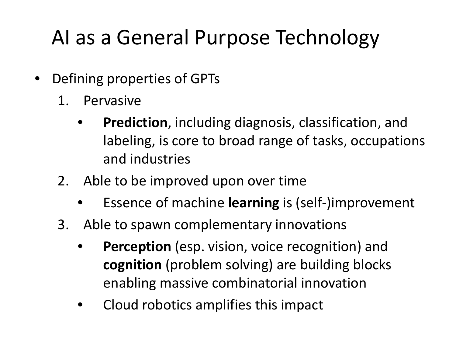## AI as a General Purpose Technology

- Defining properties of GPTs
	- 1. Pervasive
		- **Prediction**, including diagnosis, classification, and labeling, is core to broad range of tasks, occupations and industries
	- 2. Able to be improved upon over time
		- Essence of machine **learning** is (self-)improvement
	- 3. Able to spawn complementary innovations
		- **Perception** (esp. vision, voice recognition) and **cognition** (problem solving) are building blocks enabling massive combinatorial innovation
		- Cloud robotics amplifies this impact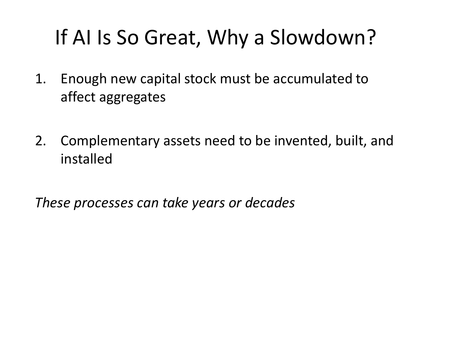## If AI Is So Great, Why a Slowdown?

- 1. Enough new capital stock must be accumulated to affect aggregates
- 2. Complementary assets need to be invented, built, and installed

*These processes can take years or decades*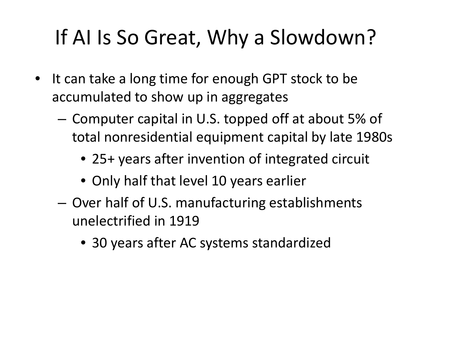## If AI Is So Great, Why a Slowdown?

- It can take a long time for enough GPT stock to be accumulated to show up in aggregates
	- Computer capital in U.S. topped off at about 5% of total nonresidential equipment capital by late 1980s
		- 25+ years after invention of integrated circuit
		- Only half that level 10 years earlier
	- Over half of U.S. manufacturing establishments unelectrified in 1919
		- 30 years after AC systems standardized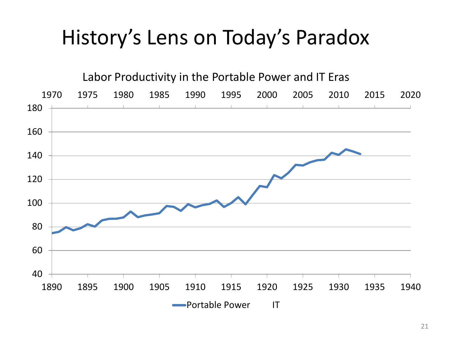## History's Lens on Today's Paradox

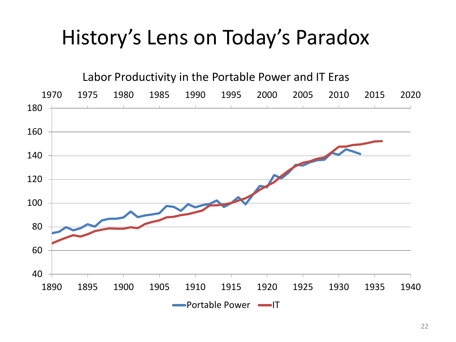## History's Lens on Today's Paradox

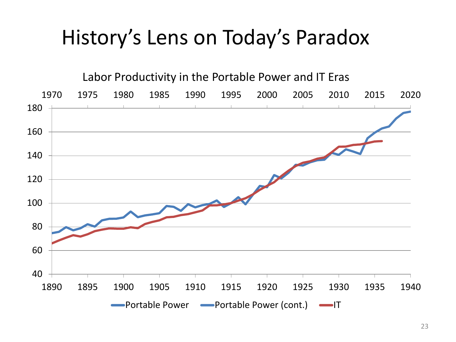## History's Lens on Today's Paradox

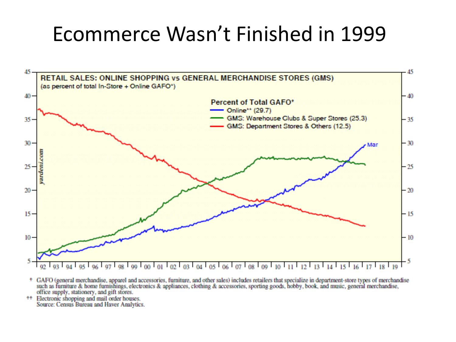### Ecommerce Wasn't Finished in 1999



- \* GAFO (general merchandise, apparel and accessories, furniture, and other sales) includes retailers that specialize in department-store types of merchandise such as furniture & home furnishings, electronics & appliances, clothing & accessories, sporting goods, hobby, book, and music, general merchandise, office supply, stationery, and gift stores.
- \*\* Electronic shopping and mail order houses. Source: Census Bureau and Haver Analytics.